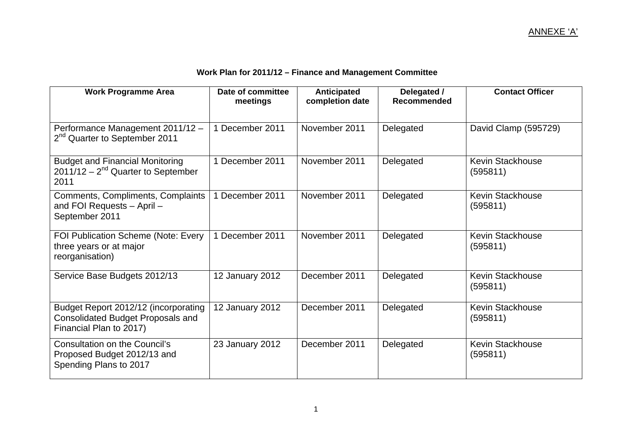| Work Plan for 2011/12 - Finance and Management Committee |  |  |  |
|----------------------------------------------------------|--|--|--|
|----------------------------------------------------------|--|--|--|

| <b>Work Programme Area</b>                                                                                  | Date of committee<br>meetings | <b>Anticipated</b><br>completion date | Delegated /<br>Recommended | <b>Contact Officer</b>              |
|-------------------------------------------------------------------------------------------------------------|-------------------------------|---------------------------------------|----------------------------|-------------------------------------|
| Performance Management 2011/12 -<br>2 <sup>nd</sup> Quarter to September 2011                               | 1 December 2011               | November 2011                         | Delegated                  | David Clamp (595729)                |
| <b>Budget and Financial Monitoring</b><br>$2011/12 - 2^{nd}$ Quarter to September<br>2011                   | 1 December 2011               | November 2011                         | Delegated                  | <b>Kevin Stackhouse</b><br>(595811) |
| Comments, Compliments, Complaints<br>and FOI Requests - April -<br>September 2011                           | 1 December 2011               | November 2011                         | Delegated                  | <b>Kevin Stackhouse</b><br>(595811) |
| FOI Publication Scheme (Note: Every<br>three years or at major<br>reorganisation)                           | 1 December 2011               | November 2011                         | Delegated                  | <b>Kevin Stackhouse</b><br>(595811) |
| Service Base Budgets 2012/13                                                                                | 12 January 2012               | December 2011                         | Delegated                  | <b>Kevin Stackhouse</b><br>(595811) |
| Budget Report 2012/12 (incorporating<br><b>Consolidated Budget Proposals and</b><br>Financial Plan to 2017) | 12 January 2012               | December 2011                         | Delegated                  | <b>Kevin Stackhouse</b><br>(595811) |
| <b>Consultation on the Council's</b><br>Proposed Budget 2012/13 and<br>Spending Plans to 2017               | 23 January 2012               | December 2011                         | Delegated                  | <b>Kevin Stackhouse</b><br>(595811) |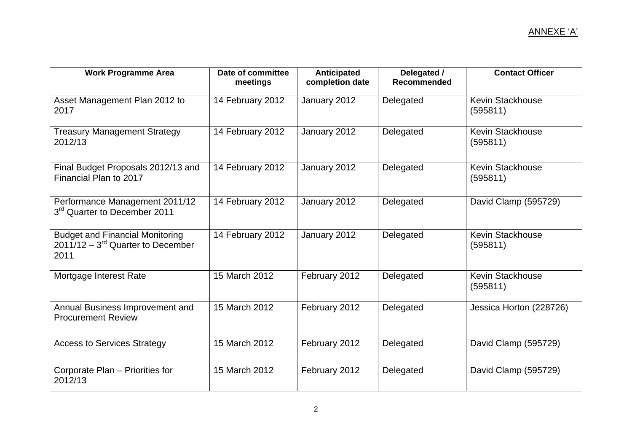| <b>Work Programme Area</b>                                                               | Date of committee<br>meetings | <b>Anticipated</b><br>completion date | Delegated /<br><b>Recommended</b> | <b>Contact Officer</b>              |
|------------------------------------------------------------------------------------------|-------------------------------|---------------------------------------|-----------------------------------|-------------------------------------|
| Asset Management Plan 2012 to<br>2017                                                    | 14 February 2012              | January 2012                          | Delegated                         | <b>Kevin Stackhouse</b><br>(595811) |
| <b>Treasury Management Strategy</b><br>2012/13                                           | 14 February 2012              | January 2012                          | Delegated                         | <b>Kevin Stackhouse</b><br>(595811) |
| Final Budget Proposals 2012/13 and<br>Financial Plan to 2017                             | 14 February 2012              | January 2012                          | Delegated                         | <b>Kevin Stackhouse</b><br>(595811) |
| Performance Management 2011/12<br>3 <sup>rd</sup> Quarter to December 2011               | 14 February 2012              | January 2012                          | Delegated                         | David Clamp (595729)                |
| <b>Budget and Financial Monitoring</b><br>$2011/12 - 3^{rd}$ Quarter to December<br>2011 | 14 February 2012              | January 2012                          | Delegated                         | <b>Kevin Stackhouse</b><br>(595811) |
| Mortgage Interest Rate                                                                   | 15 March 2012                 | February 2012                         | Delegated                         | <b>Kevin Stackhouse</b><br>(595811) |
| Annual Business Improvement and<br><b>Procurement Review</b>                             | 15 March 2012                 | February 2012                         | Delegated                         | Jessica Horton (228726)             |
| <b>Access to Services Strategy</b>                                                       | 15 March 2012                 | February 2012                         | Delegated                         | David Clamp (595729)                |
| Corporate Plan - Priorities for<br>2012/13                                               | 15 March 2012                 | February 2012                         | Delegated                         | David Clamp (595729)                |